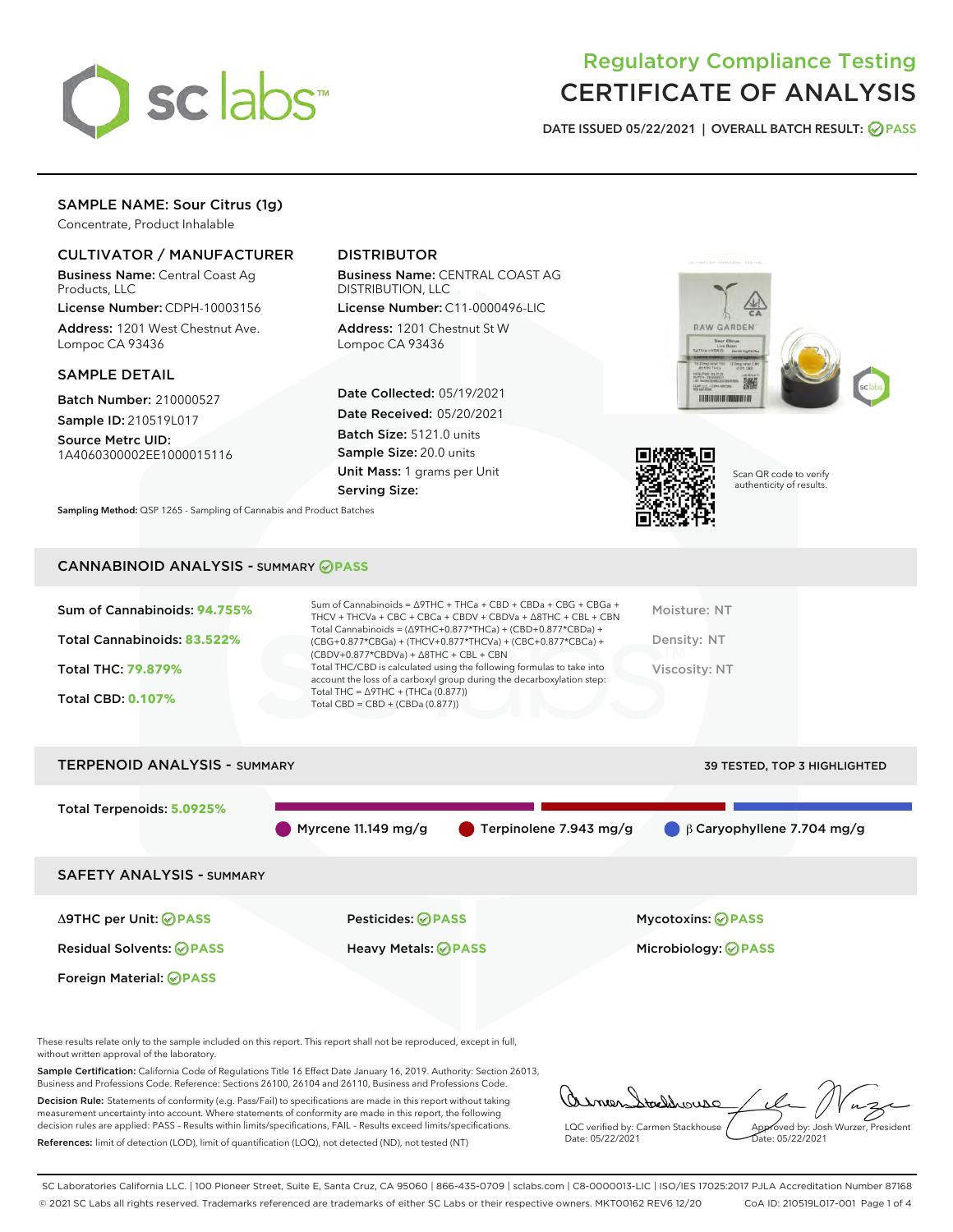

# Regulatory Compliance Testing CERTIFICATE OF ANALYSIS

DATE ISSUED 05/22/2021 | OVERALL BATCH RESULT: @ PASS

# SAMPLE NAME: Sour Citrus (1g)

Concentrate, Product Inhalable

### CULTIVATOR / MANUFACTURER

Business Name: Central Coast Ag Products, LLC

License Number: CDPH-10003156 Address: 1201 West Chestnut Ave. Lompoc CA 93436

#### SAMPLE DETAIL

Batch Number: 210000527 Sample ID: 210519L017

Source Metrc UID:

# 1A4060300002EE1000015116

## DISTRIBUTOR

Business Name: CENTRAL COAST AG DISTRIBUTION, LLC

License Number: C11-0000496-LIC Address: 1201 Chestnut St W Lompoc CA 93436

Date Collected: 05/19/2021 Date Received: 05/20/2021 Batch Size: 5121.0 units Sample Size: 20.0 units Unit Mass: 1 grams per Unit Serving Size:





Scan QR code to verify authenticity of results.

CANNABINOID ANALYSIS - SUMMARY **PASS**

Sampling Method: QSP 1265 - Sampling of Cannabis and Product Batches

| Sum of Cannabinoids: 94.755% | Sum of Cannabinoids = $\triangle$ 9THC + THCa + CBD + CBDa + CBG + CBGa +<br>THCV + THCVa + CBC + CBCa + CBDV + CBDVa + Δ8THC + CBL + CBN                                            | Moisture: NT  |
|------------------------------|--------------------------------------------------------------------------------------------------------------------------------------------------------------------------------------|---------------|
| Total Cannabinoids: 83.522%  | Total Cannabinoids = $(\Delta$ 9THC+0.877*THCa) + (CBD+0.877*CBDa) +<br>(CBG+0.877*CBGa) + (THCV+0.877*THCVa) + (CBC+0.877*CBCa) +<br>$(CBDV+0.877*CBDVa) + \Delta 8THC + CBL + CBN$ | Density: NT   |
| <b>Total THC: 79.879%</b>    | Total THC/CBD is calculated using the following formulas to take into<br>account the loss of a carboxyl group during the decarboxylation step:                                       | Viscosity: NT |
| <b>Total CBD: 0.107%</b>     | Total THC = $\triangle$ 9THC + (THCa (0.877))<br>Total CBD = $CBD + (CBDa (0.877))$                                                                                                  |               |
|                              |                                                                                                                                                                                      |               |

# TERPENOID ANALYSIS - SUMMARY 39 TESTED, TOP 3 HIGHLIGHTED Total Terpenoids: **5.0925%** Myrcene 11.149 mg/g **C** Terpinolene 7.943 mg/g β Caryophyllene 7.704 mg/g SAFETY ANALYSIS - SUMMARY Δ9THC per Unit: **PASS** Pesticides: **PASS** Mycotoxins: **PASS** Residual Solvents: **PASS** Heavy Metals: **PASS** Microbiology: **PASS** Foreign Material: **PASS**

These results relate only to the sample included on this report. This report shall not be reproduced, except in full, without written approval of the laboratory.

Sample Certification: California Code of Regulations Title 16 Effect Date January 16, 2019. Authority: Section 26013, Business and Professions Code. Reference: Sections 26100, 26104 and 26110, Business and Professions Code.

Decision Rule: Statements of conformity (e.g. Pass/Fail) to specifications are made in this report without taking measurement uncertainty into account. Where statements of conformity are made in this report, the following decision rules are applied: PASS – Results within limits/specifications, FAIL – Results exceed limits/specifications. References: limit of detection (LOD), limit of quantification (LOQ), not detected (ND), not tested (NT)

addrouse LQC verified by: Carmen Stackhouse Approved by: Josh Wurzer, President Date: 05/22/2021 Date: 05/22/2021

SC Laboratories California LLC. | 100 Pioneer Street, Suite E, Santa Cruz, CA 95060 | 866-435-0709 | sclabs.com | C8-0000013-LIC | ISO/IES 17025:2017 PJLA Accreditation Number 87168 © 2021 SC Labs all rights reserved. Trademarks referenced are trademarks of either SC Labs or their respective owners. MKT00162 REV6 12/20 CoA ID: 210519L017-001 Page 1 of 4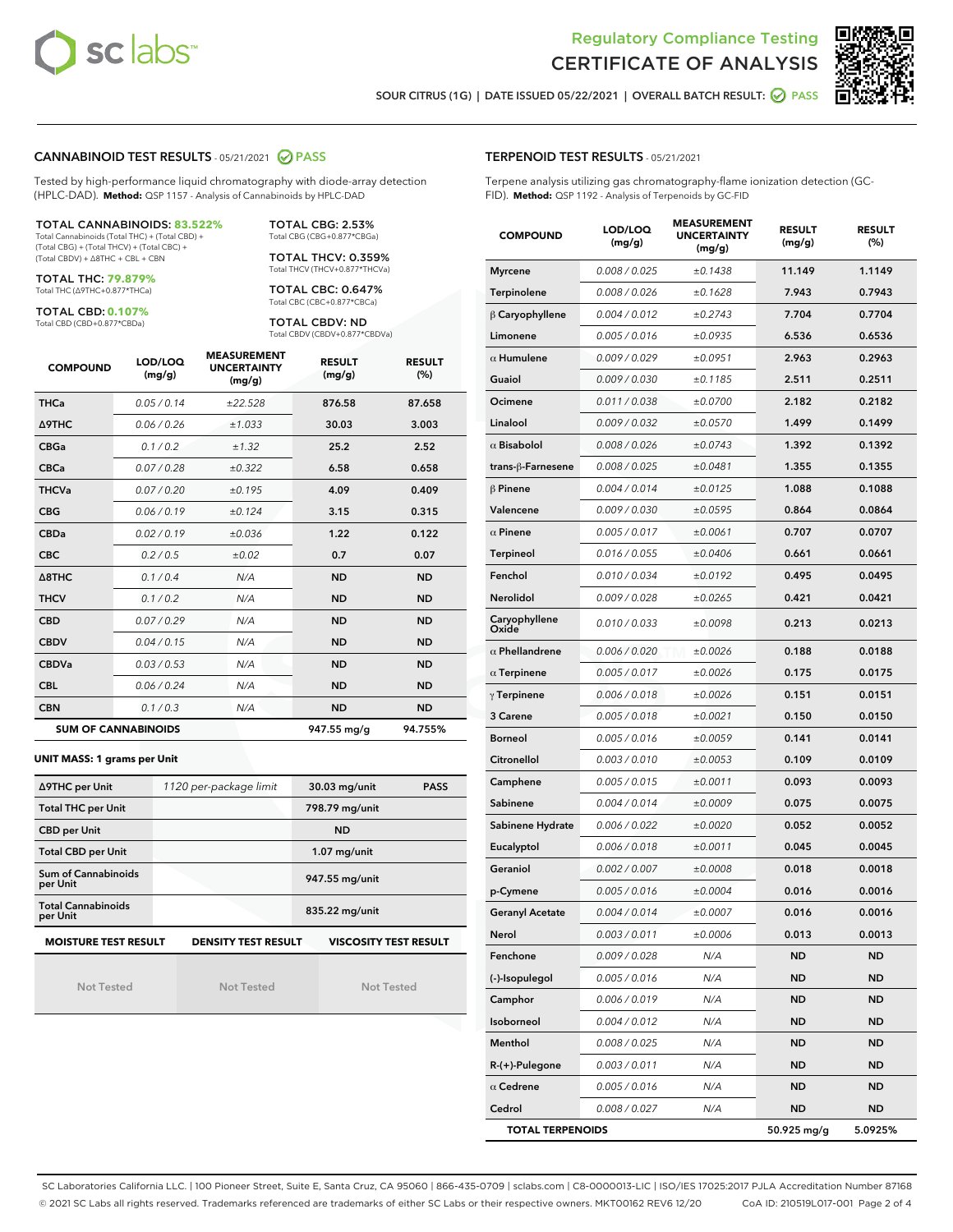



SOUR CITRUS (1G) | DATE ISSUED 05/22/2021 | OVERALL BATCH RESULT: @ PASS

#### CANNABINOID TEST RESULTS - 05/21/2021 2 PASS

Tested by high-performance liquid chromatography with diode-array detection (HPLC-DAD). **Method:** QSP 1157 - Analysis of Cannabinoids by HPLC-DAD

TOTAL CANNABINOIDS: **83.522%** Total Cannabinoids (Total THC) + (Total CBD) +

(Total CBG) + (Total THCV) + (Total CBC) + (Total CBDV) + ∆8THC + CBL + CBN

TOTAL THC: **79.879%** Total THC (∆9THC+0.877\*THCa)

TOTAL CBD: **0.107%**

Total CBD (CBD+0.877\*CBDa)

TOTAL CBG: 2.53% Total CBG (CBG+0.877\*CBGa)

TOTAL THCV: 0.359% Total THCV (THCV+0.877\*THCVa)

TOTAL CBC: 0.647% Total CBC (CBC+0.877\*CBCa)

TOTAL CBDV: ND Total CBDV (CBDV+0.877\*CBDVa)

| <b>COMPOUND</b> | LOD/LOQ<br>(mg/g)          | <b>MEASUREMENT</b><br><b>UNCERTAINTY</b><br>(mg/g) | <b>RESULT</b><br>(mg/g) | <b>RESULT</b><br>(%) |
|-----------------|----------------------------|----------------------------------------------------|-------------------------|----------------------|
| <b>THCa</b>     | 0.05/0.14                  | ±22.528                                            | 876.58                  | 87.658               |
| <b>A9THC</b>    | 0.06 / 0.26                | ±1.033                                             | 30.03                   | 3.003                |
| <b>CBGa</b>     | 0.1 / 0.2                  | ±1.32                                              | 25.2                    | 2.52                 |
| <b>CBCa</b>     | 0.07/0.28                  | ±0.322                                             | 6.58                    | 0.658                |
| <b>THCVa</b>    | 0.07/0.20                  | ±0.195                                             | 4.09                    | 0.409                |
| <b>CBG</b>      | 0.06/0.19                  | ±0.124                                             | 3.15                    | 0.315                |
| <b>CBDa</b>     | 0.02/0.19                  | ±0.036                                             | 1.22                    | 0.122                |
| <b>CBC</b>      | 0.2 / 0.5                  | ±0.02                                              | 0.7                     | 0.07                 |
| A8THC           | 0.1/0.4                    | N/A                                                | <b>ND</b>               | <b>ND</b>            |
| <b>THCV</b>     | 0.1/0.2                    | N/A                                                | <b>ND</b>               | <b>ND</b>            |
| <b>CBD</b>      | 0.07/0.29                  | N/A                                                | <b>ND</b>               | <b>ND</b>            |
| <b>CBDV</b>     | 0.04 / 0.15                | N/A                                                | <b>ND</b>               | <b>ND</b>            |
| <b>CBDVa</b>    | 0.03/0.53                  | N/A                                                | <b>ND</b>               | <b>ND</b>            |
| <b>CBL</b>      | 0.06 / 0.24                | N/A                                                | <b>ND</b>               | <b>ND</b>            |
| <b>CBN</b>      | 0.1/0.3                    | N/A                                                | <b>ND</b>               | <b>ND</b>            |
|                 | <b>SUM OF CANNABINOIDS</b> |                                                    | 947.55 mg/g             | 94.755%              |

#### **UNIT MASS: 1 grams per Unit**

| ∆9THC per Unit                        | 1120 per-package limit     | 30.03 mg/unit<br><b>PASS</b> |
|---------------------------------------|----------------------------|------------------------------|
| <b>Total THC per Unit</b>             |                            | 798.79 mg/unit               |
| <b>CBD per Unit</b>                   |                            | <b>ND</b>                    |
| <b>Total CBD per Unit</b>             |                            | $1.07$ mg/unit               |
| Sum of Cannabinoids<br>per Unit       |                            | 947.55 mg/unit               |
| <b>Total Cannabinoids</b><br>per Unit |                            | 835.22 mg/unit               |
| <b>MOISTURE TEST RESULT</b>           | <b>DENSITY TEST RESULT</b> | <b>VISCOSITY TEST RESULT</b> |

Not Tested

Not Tested

Not Tested

#### TERPENOID TEST RESULTS - 05/21/2021

Terpene analysis utilizing gas chromatography-flame ionization detection (GC-FID). **Method:** QSP 1192 - Analysis of Terpenoids by GC-FID

| <b>COMPOUND</b>         | LOD/LOQ<br>(mg/g) | <b>MEASUREMENT</b><br><b>UNCERTAINTY</b><br>(mg/g) | <b>RESULT</b><br>(mg/g) | <b>RESULT</b><br>(%) |
|-------------------------|-------------------|----------------------------------------------------|-------------------------|----------------------|
| <b>Myrcene</b>          | 0.008 / 0.025     | ±0.1438                                            | 11.149                  | 1.1149               |
| Terpinolene             | 0.008 / 0.026     | ±0.1628                                            | 7.943                   | 0.7943               |
| $\beta$ Caryophyllene   | 0.004 / 0.012     | ±0.2743                                            | 7.704                   | 0.7704               |
| Limonene                | 0.005 / 0.016     | ±0.0935                                            | 6.536                   | 0.6536               |
| $\alpha$ Humulene       | 0.009/0.029       | ±0.0951                                            | 2.963                   | 0.2963               |
| Guaiol                  | 0.009 / 0.030     | ±0.1185                                            | 2.511                   | 0.2511               |
| Ocimene                 | 0.011 / 0.038     | ±0.0700                                            | 2.182                   | 0.2182               |
| Linalool                | 0.009 / 0.032     | ±0.0570                                            | 1.499                   | 0.1499               |
| $\alpha$ Bisabolol      | 0.008 / 0.026     | ±0.0743                                            | 1.392                   | 0.1392               |
| trans-ß-Farnesene       | 0.008 / 0.025     | ±0.0481                                            | 1.355                   | 0.1355               |
| $\beta$ Pinene          | 0.004 / 0.014     | ±0.0125                                            | 1.088                   | 0.1088               |
| Valencene               | 0.009 / 0.030     | ±0.0595                                            | 0.864                   | 0.0864               |
| $\alpha$ Pinene         | 0.005 / 0.017     | ±0.0061                                            | 0.707                   | 0.0707               |
| Terpineol               | 0.016 / 0.055     | ±0.0406                                            | 0.661                   | 0.0661               |
| Fenchol                 | 0.010 / 0.034     | ±0.0192                                            | 0.495                   | 0.0495               |
| <b>Nerolidol</b>        | 0.009 / 0.028     | ±0.0265                                            | 0.421                   | 0.0421               |
| Caryophyllene<br>Oxide  | 0.010 / 0.033     | ±0.0098                                            | 0.213                   | 0.0213               |
| $\alpha$ Phellandrene   | 0.006 / 0.020     | ±0.0026                                            | 0.188                   | 0.0188               |
| $\alpha$ Terpinene      | 0.005 / 0.017     | ±0.0026                                            | 0.175                   | 0.0175               |
| $\gamma$ Terpinene      | 0.006 / 0.018     | ±0.0026                                            | 0.151                   | 0.0151               |
| 3 Carene                | 0.005 / 0.018     | ±0.0021                                            | 0.150                   | 0.0150               |
| <b>Borneol</b>          | 0.005 / 0.016     | ±0.0059                                            | 0.141                   | 0.0141               |
| Citronellol             | 0.003 / 0.010     | ±0.0053                                            | 0.109                   | 0.0109               |
| Camphene                | 0.005 / 0.015     | ±0.0011                                            | 0.093                   | 0.0093               |
| Sabinene                | 0.004 / 0.014     | ±0.0009                                            | 0.075                   | 0.0075               |
| Sabinene Hydrate        | 0.006 / 0.022     | ±0.0020                                            | 0.052                   | 0.0052               |
| Eucalyptol              | 0.006 / 0.018     | ±0.0011                                            | 0.045                   | 0.0045               |
| Geraniol                | 0.002 / 0.007     | ±0.0008                                            | 0.018                   | 0.0018               |
| p-Cymene                | 0.005 / 0.016     | ±0.0004                                            | 0.016                   | 0.0016               |
| <b>Geranyl Acetate</b>  | 0.004 / 0.014     | ±0.0007                                            | 0.016                   | 0.0016               |
| Nerol                   | 0.003 / 0.011     | ±0.0006                                            | 0.013                   | 0.0013               |
| Fenchone                | 0.009 / 0.028     | N/A                                                | <b>ND</b>               | <b>ND</b>            |
| (-)-Isopulegol          | 0.005 / 0.016     | N/A                                                | <b>ND</b>               | <b>ND</b>            |
| Camphor                 | 0.006 / 0.019     | N/A                                                | <b>ND</b>               | <b>ND</b>            |
| Isoborneol              | 0.004 / 0.012     | N/A                                                | ND                      | <b>ND</b>            |
| Menthol                 | 0.008 / 0.025     | N/A                                                | ND                      | <b>ND</b>            |
| $R-(+)$ -Pulegone       | 0.003 / 0.011     | N/A                                                | <b>ND</b>               | <b>ND</b>            |
| $\alpha$ Cedrene        | 0.005 / 0.016     | N/A                                                | ND                      | ND                   |
| Cedrol                  | 0.008 / 0.027     | N/A                                                | ND                      | <b>ND</b>            |
| <b>TOTAL TERPENOIDS</b> |                   |                                                    | 50.925 mg/g             | 5.0925%              |

SC Laboratories California LLC. | 100 Pioneer Street, Suite E, Santa Cruz, CA 95060 | 866-435-0709 | sclabs.com | C8-0000013-LIC | ISO/IES 17025:2017 PJLA Accreditation Number 87168 © 2021 SC Labs all rights reserved. Trademarks referenced are trademarks of either SC Labs or their respective owners. MKT00162 REV6 12/20 CoA ID: 210519L017-001 Page 2 of 4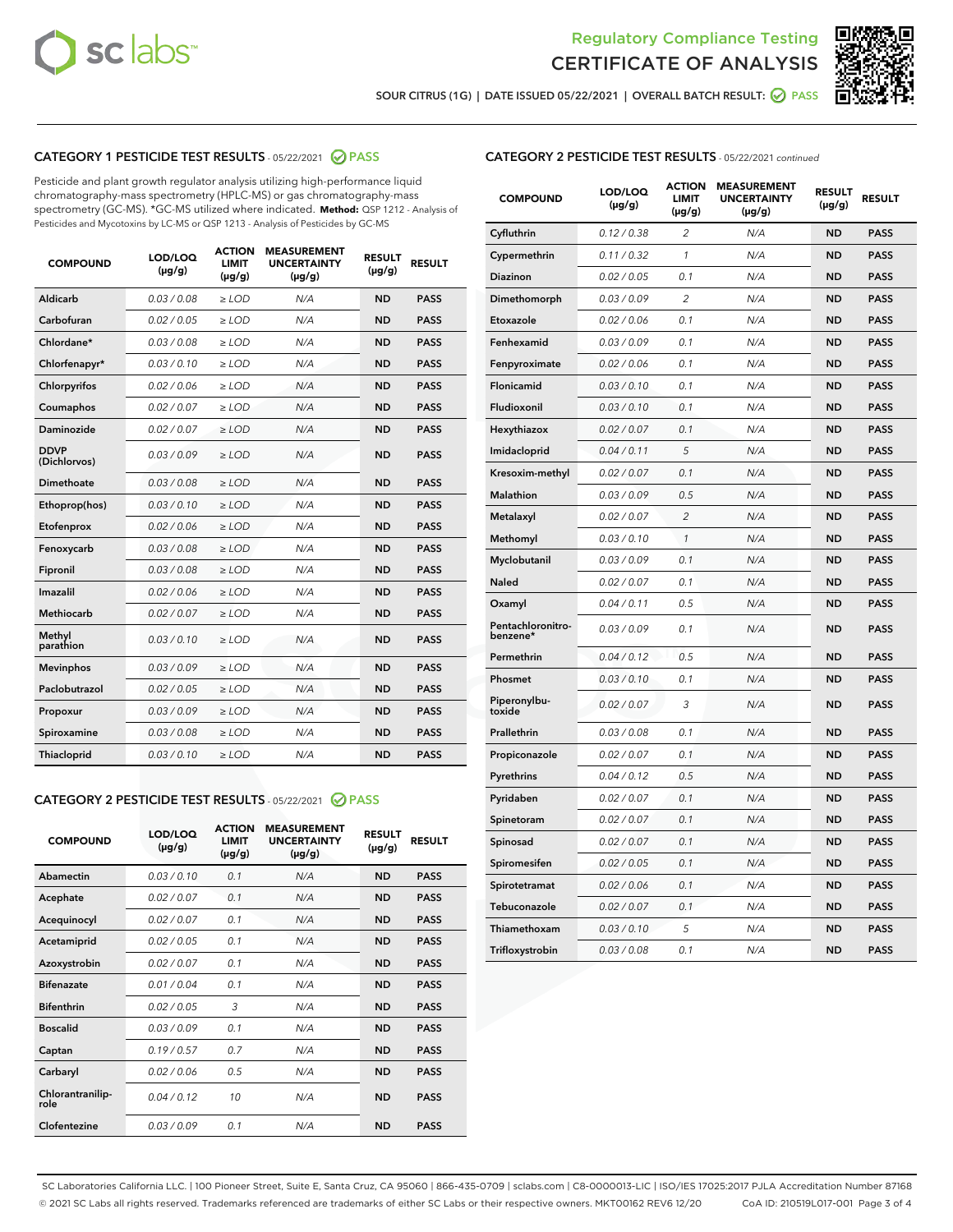



SOUR CITRUS (1G) | DATE ISSUED 05/22/2021 | OVERALL BATCH RESULT: ● PASS

## CATEGORY 1 PESTICIDE TEST RESULTS - 05/22/2021 2 PASS

Pesticide and plant growth regulator analysis utilizing high-performance liquid chromatography-mass spectrometry (HPLC-MS) or gas chromatography-mass spectrometry (GC-MS). \*GC-MS utilized where indicated. **Method:** QSP 1212 - Analysis of Pesticides and Mycotoxins by LC-MS or QSP 1213 - Analysis of Pesticides by GC-MS

| <b>COMPOUND</b>             | LOD/LOQ<br>$(\mu g/g)$ | <b>ACTION</b><br><b>LIMIT</b><br>$(\mu g/g)$ | <b>MEASUREMENT</b><br><b>UNCERTAINTY</b><br>$(\mu g/g)$ | <b>RESULT</b><br>$(\mu g/g)$ | <b>RESULT</b> |
|-----------------------------|------------------------|----------------------------------------------|---------------------------------------------------------|------------------------------|---------------|
| Aldicarb                    | 0.03 / 0.08            | $\ge$ LOD                                    | N/A                                                     | <b>ND</b>                    | <b>PASS</b>   |
| Carbofuran                  | 0.02 / 0.05            | $\ge$ LOD                                    | N/A                                                     | <b>ND</b>                    | <b>PASS</b>   |
| Chlordane*                  | 0.03 / 0.08            | $\ge$ LOD                                    | N/A                                                     | <b>ND</b>                    | <b>PASS</b>   |
| Chlorfenapyr*               | 0.03/0.10              | $\ge$ LOD                                    | N/A                                                     | <b>ND</b>                    | <b>PASS</b>   |
| Chlorpyrifos                | 0.02 / 0.06            | $\ge$ LOD                                    | N/A                                                     | <b>ND</b>                    | <b>PASS</b>   |
| Coumaphos                   | 0.02 / 0.07            | $\ge$ LOD                                    | N/A                                                     | <b>ND</b>                    | <b>PASS</b>   |
| Daminozide                  | 0.02/0.07              | $>$ LOD                                      | N/A                                                     | <b>ND</b>                    | <b>PASS</b>   |
| <b>DDVP</b><br>(Dichlorvos) | 0.03/0.09              | $>$ LOD                                      | N/A                                                     | <b>ND</b>                    | <b>PASS</b>   |
| Dimethoate                  | 0.03 / 0.08            | $\ge$ LOD                                    | N/A                                                     | <b>ND</b>                    | <b>PASS</b>   |
| Ethoprop(hos)               | 0.03/0.10              | $>$ LOD                                      | N/A                                                     | <b>ND</b>                    | <b>PASS</b>   |
| Etofenprox                  | 0.02 / 0.06            | $\ge$ LOD                                    | N/A                                                     | <b>ND</b>                    | <b>PASS</b>   |
| Fenoxycarb                  | 0.03 / 0.08            | $\ge$ LOD                                    | N/A                                                     | <b>ND</b>                    | <b>PASS</b>   |
| Fipronil                    | 0.03/0.08              | $>$ LOD                                      | N/A                                                     | <b>ND</b>                    | <b>PASS</b>   |
| Imazalil                    | 0.02 / 0.06            | $\ge$ LOD                                    | N/A                                                     | <b>ND</b>                    | <b>PASS</b>   |
| Methiocarb                  | 0.02 / 0.07            | $\ge$ LOD                                    | N/A                                                     | <b>ND</b>                    | <b>PASS</b>   |
| Methyl<br>parathion         | 0.03/0.10              | $\ge$ LOD                                    | N/A                                                     | <b>ND</b>                    | <b>PASS</b>   |
| <b>Mevinphos</b>            | 0.03/0.09              | $\ge$ LOD                                    | N/A                                                     | <b>ND</b>                    | <b>PASS</b>   |
| Paclobutrazol               | 0.02 / 0.05            | $\ge$ LOD                                    | N/A                                                     | <b>ND</b>                    | <b>PASS</b>   |
| Propoxur                    | 0.03 / 0.09            | $\ge$ LOD                                    | N/A                                                     | <b>ND</b>                    | <b>PASS</b>   |
| Spiroxamine                 | 0.03 / 0.08            | $\ge$ LOD                                    | N/A                                                     | <b>ND</b>                    | <b>PASS</b>   |
| <b>Thiacloprid</b>          | 0.03/0.10              | $\ge$ LOD                                    | N/A                                                     | <b>ND</b>                    | <b>PASS</b>   |

#### CATEGORY 2 PESTICIDE TEST RESULTS - 05/22/2021 @ PASS

| <b>COMPOUND</b>          | LOD/LOQ<br>$(\mu g/g)$ | <b>ACTION</b><br>LIMIT<br>$(\mu g/g)$ | <b>MEASUREMENT</b><br><b>UNCERTAINTY</b><br>$(\mu g/g)$ | <b>RESULT</b><br>$(\mu g/g)$ | <b>RESULT</b> |
|--------------------------|------------------------|---------------------------------------|---------------------------------------------------------|------------------------------|---------------|
| Abamectin                | 0.03/0.10              | 0.1                                   | N/A                                                     | <b>ND</b>                    | <b>PASS</b>   |
| Acephate                 | 0.02/0.07              | 0.1                                   | N/A                                                     | <b>ND</b>                    | <b>PASS</b>   |
| Acequinocyl              | 0.02/0.07              | 0.1                                   | N/A                                                     | <b>ND</b>                    | <b>PASS</b>   |
| Acetamiprid              | 0.02/0.05              | 0.1                                   | N/A                                                     | <b>ND</b>                    | <b>PASS</b>   |
| Azoxystrobin             | 0.02/0.07              | 0.1                                   | N/A                                                     | <b>ND</b>                    | <b>PASS</b>   |
| <b>Bifenazate</b>        | 0.01 / 0.04            | 0.1                                   | N/A                                                     | <b>ND</b>                    | <b>PASS</b>   |
| <b>Bifenthrin</b>        | 0.02/0.05              | 3                                     | N/A                                                     | <b>ND</b>                    | <b>PASS</b>   |
| <b>Boscalid</b>          | 0.03/0.09              | 0.1                                   | N/A                                                     | <b>ND</b>                    | <b>PASS</b>   |
| Captan                   | 0.19/0.57              | 0.7                                   | N/A                                                     | <b>ND</b>                    | <b>PASS</b>   |
| Carbaryl                 | 0.02/0.06              | 0.5                                   | N/A                                                     | <b>ND</b>                    | <b>PASS</b>   |
| Chlorantranilip-<br>role | 0.04/0.12              | 10                                    | N/A                                                     | <b>ND</b>                    | <b>PASS</b>   |
| Clofentezine             | 0.03/0.09              | 0.1                                   | N/A                                                     | <b>ND</b>                    | <b>PASS</b>   |

| <b>CATEGORY 2 PESTICIDE TEST RESULTS</b> - 05/22/2021 continued |
|-----------------------------------------------------------------|
|-----------------------------------------------------------------|

| <b>COMPOUND</b>               | LOD/LOQ<br>(µg/g) | <b>ACTION</b><br><b>LIMIT</b><br>(µg/g) | <b>MEASUREMENT</b><br><b>UNCERTAINTY</b><br>(µg/g) | <b>RESULT</b><br>(µg/g) | <b>RESULT</b> |
|-------------------------------|-------------------|-----------------------------------------|----------------------------------------------------|-------------------------|---------------|
| Cyfluthrin                    | 0.12 / 0.38       | $\overline{c}$                          | N/A                                                | <b>ND</b>               | <b>PASS</b>   |
| Cypermethrin                  | 0.11/0.32         | 1                                       | N/A                                                | <b>ND</b>               | <b>PASS</b>   |
| <b>Diazinon</b>               | 0.02 / 0.05       | 0.1                                     | N/A                                                | <b>ND</b>               | <b>PASS</b>   |
| Dimethomorph                  | 0.03 / 0.09       | 2                                       | N/A                                                | <b>ND</b>               | <b>PASS</b>   |
| Etoxazole                     | 0.02 / 0.06       | 0.1                                     | N/A                                                | <b>ND</b>               | <b>PASS</b>   |
| Fenhexamid                    | 0.03 / 0.09       | 0.1                                     | N/A                                                | <b>ND</b>               | <b>PASS</b>   |
| Fenpyroximate                 | 0.02 / 0.06       | 0.1                                     | N/A                                                | <b>ND</b>               | <b>PASS</b>   |
| Flonicamid                    | 0.03 / 0.10       | 0.1                                     | N/A                                                | <b>ND</b>               | <b>PASS</b>   |
| Fludioxonil                   | 0.03/0.10         | 0.1                                     | N/A                                                | <b>ND</b>               | <b>PASS</b>   |
| Hexythiazox                   | 0.02 / 0.07       | 0.1                                     | N/A                                                | <b>ND</b>               | <b>PASS</b>   |
| Imidacloprid                  | 0.04 / 0.11       | 5                                       | N/A                                                | <b>ND</b>               | <b>PASS</b>   |
| Kresoxim-methyl               | 0.02 / 0.07       | 0.1                                     | N/A                                                | <b>ND</b>               | <b>PASS</b>   |
| Malathion                     | 0.03 / 0.09       | 0.5                                     | N/A                                                | <b>ND</b>               | <b>PASS</b>   |
| Metalaxyl                     | 0.02 / 0.07       | $\overline{c}$                          | N/A                                                | <b>ND</b>               | <b>PASS</b>   |
| Methomyl                      | 0.03 / 0.10       | 1                                       | N/A                                                | <b>ND</b>               | <b>PASS</b>   |
| Myclobutanil                  | 0.03/0.09         | 0.1                                     | N/A                                                | <b>ND</b>               | <b>PASS</b>   |
| Naled                         | 0.02 / 0.07       | 0.1                                     | N/A                                                | <b>ND</b>               | <b>PASS</b>   |
| Oxamyl                        | 0.04 / 0.11       | 0.5                                     | N/A                                                | <b>ND</b>               | <b>PASS</b>   |
| Pentachloronitro-<br>benzene* | 0.03/0.09         | 0.1                                     | N/A                                                | <b>ND</b>               | <b>PASS</b>   |
| Permethrin                    | 0.04 / 0.12       | 0.5                                     | N/A                                                | <b>ND</b>               | <b>PASS</b>   |
| Phosmet                       | 0.03 / 0.10       | 0.1                                     | N/A                                                | <b>ND</b>               | <b>PASS</b>   |
| Piperonylbu-<br>toxide        | 0.02 / 0.07       | 3                                       | N/A                                                | <b>ND</b>               | <b>PASS</b>   |
| Prallethrin                   | 0.03 / 0.08       | 0.1                                     | N/A                                                | <b>ND</b>               | <b>PASS</b>   |
| Propiconazole                 | 0.02 / 0.07       | 0.1                                     | N/A                                                | <b>ND</b>               | <b>PASS</b>   |
| Pyrethrins                    | 0.04 / 0.12       | 0.5                                     | N/A                                                | <b>ND</b>               | <b>PASS</b>   |
| Pyridaben                     | 0.02 / 0.07       | 0.1                                     | N/A                                                | <b>ND</b>               | <b>PASS</b>   |
| Spinetoram                    | 0.02 / 0.07       | 0.1                                     | N/A                                                | <b>ND</b>               | <b>PASS</b>   |
| Spinosad                      | 0.02 / 0.07       | 0.1                                     | N/A                                                | <b>ND</b>               | <b>PASS</b>   |
| Spiromesifen                  | 0.02 / 0.05       | 0.1                                     | N/A                                                | <b>ND</b>               | <b>PASS</b>   |
| Spirotetramat                 | 0.02 / 0.06       | 0.1                                     | N/A                                                | <b>ND</b>               | <b>PASS</b>   |
| Tebuconazole                  | 0.02 / 0.07       | 0.1                                     | N/A                                                | <b>ND</b>               | <b>PASS</b>   |
| Thiamethoxam                  | 0.03 / 0.10       | 5                                       | N/A                                                | <b>ND</b>               | <b>PASS</b>   |
| Trifloxystrobin               | 0.03 / 0.08       | 0.1                                     | N/A                                                | <b>ND</b>               | <b>PASS</b>   |

SC Laboratories California LLC. | 100 Pioneer Street, Suite E, Santa Cruz, CA 95060 | 866-435-0709 | sclabs.com | C8-0000013-LIC | ISO/IES 17025:2017 PJLA Accreditation Number 87168 © 2021 SC Labs all rights reserved. Trademarks referenced are trademarks of either SC Labs or their respective owners. MKT00162 REV6 12/20 CoA ID: 210519L017-001 Page 3 of 4